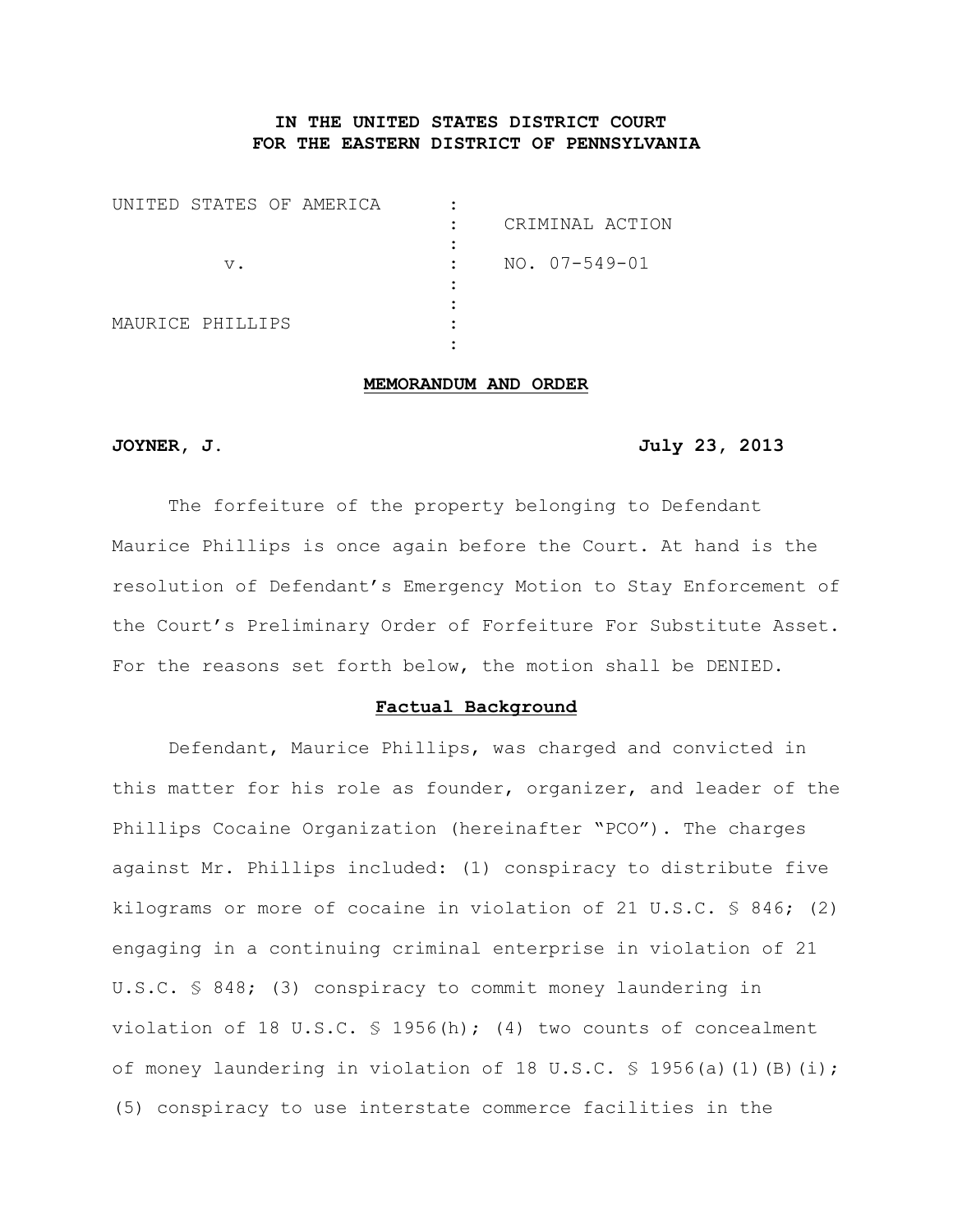# **IN THE UNITED STATES DISTRICT COURT FOR THE EASTERN DISTRICT OF PENNSYLVANIA**

| UNITED STATES OF AMERICA |    |  |               |                     | CRIMINAL ACTION |
|--------------------------|----|--|---------------|---------------------|-----------------|
|                          | v. |  | $\mathcal{L}$ | $NO. 07 - 549 - 01$ |                 |
| MAURICE PHILLIPS         |    |  |               |                     |                 |

# **MEMORANDUM AND ORDER**

# **JOYNER, J. July 23, 2013**

The forfeiture of the property belonging to Defendant Maurice Phillips is once again before the Court. At hand is the resolution of Defendant's Emergency Motion to Stay Enforcement of the Court's Preliminary Order of Forfeiture For Substitute Asset. For the reasons set forth below, the motion shall be DENIED.

#### **Factual Background**

Defendant, Maurice Phillips, was charged and convicted in this matter for his role as founder, organizer, and leader of the Phillips Cocaine Organization (hereinafter "PCO"). The charges against Mr. Phillips included: (1) conspiracy to distribute five kilograms or more of cocaine in violation of 21 U.S.C.  $\frac{1}{5}$  846; (2) engaging in a continuing criminal enterprise in violation of 21 U.S.C. § 848; (3) conspiracy to commit money laundering in violation of 18 U.S.C.  $\frac{1}{5}$  1956(h); (4) two counts of concealment of money laundering in violation of 18 U.S.C.  $\frac{1}{5}$  1956(a)(1)(B)(i); (5) conspiracy to use interstate commerce facilities in the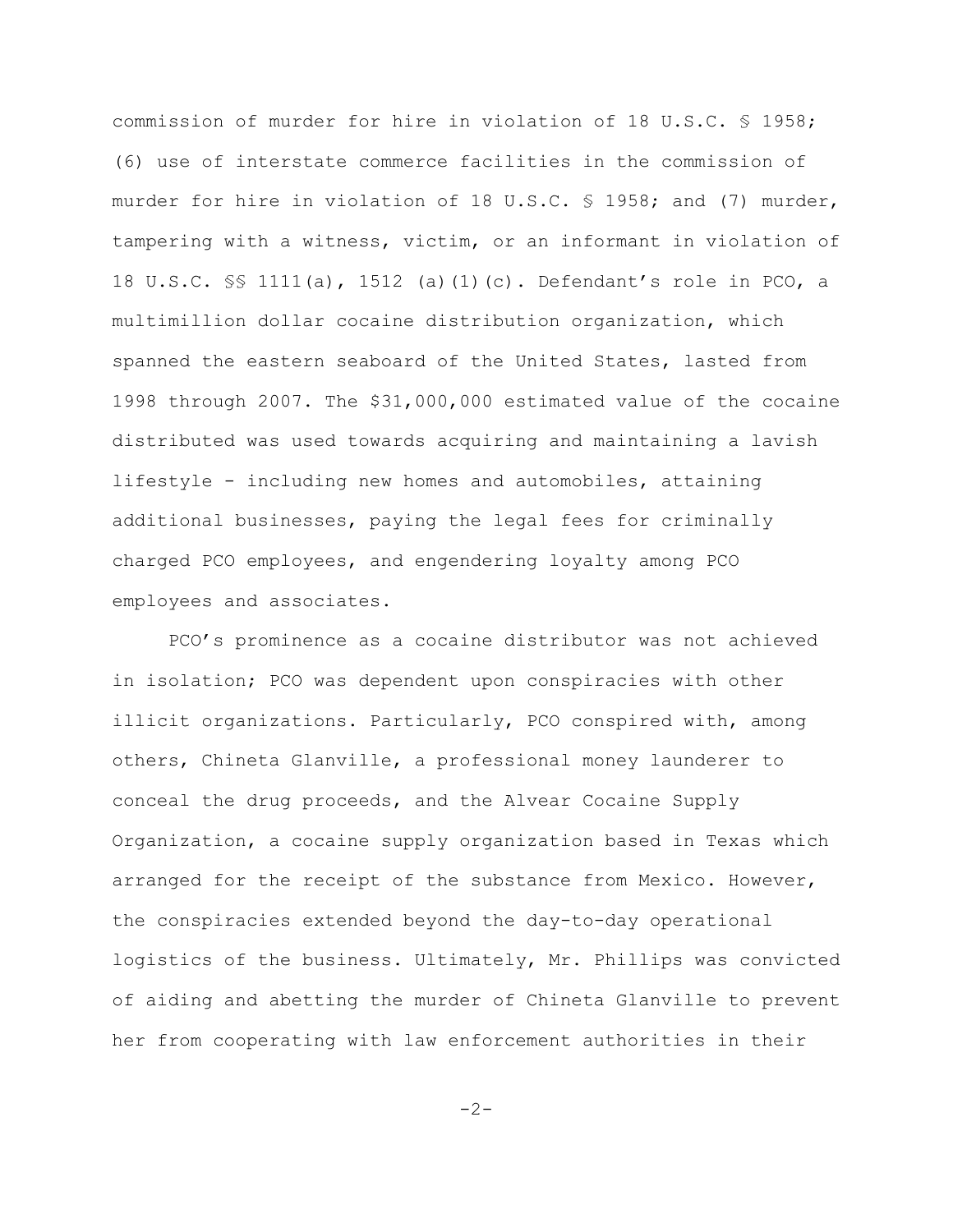commission of murder for hire in violation of 18 U.S.C. § 1958; (6) use of interstate commerce facilities in the commission of murder for hire in violation of 18 U.S.C. § 1958; and (7) murder, tampering with a witness, victim, or an informant in violation of 18 U.S.C. §§ 1111(a), 1512 (a)(1)(c). Defendant's role in PCO, a multimillion dollar cocaine distribution organization, which spanned the eastern seaboard of the United States, lasted from 1998 through 2007. The \$31,000,000 estimated value of the cocaine distributed was used towards acquiring and maintaining a lavish lifestyle - including new homes and automobiles, attaining additional businesses, paying the legal fees for criminally charged PCO employees, and engendering loyalty among PCO employees and associates.

PCO's prominence as a cocaine distributor was not achieved in isolation; PCO was dependent upon conspiracies with other illicit organizations. Particularly, PCO conspired with, among others, Chineta Glanville, a professional money launderer to conceal the drug proceeds, and the Alvear Cocaine Supply Organization, a cocaine supply organization based in Texas which arranged for the receipt of the substance from Mexico. However, the conspiracies extended beyond the day-to-day operational logistics of the business. Ultimately, Mr. Phillips was convicted of aiding and abetting the murder of Chineta Glanville to prevent her from cooperating with law enforcement authorities in their

 $-2-$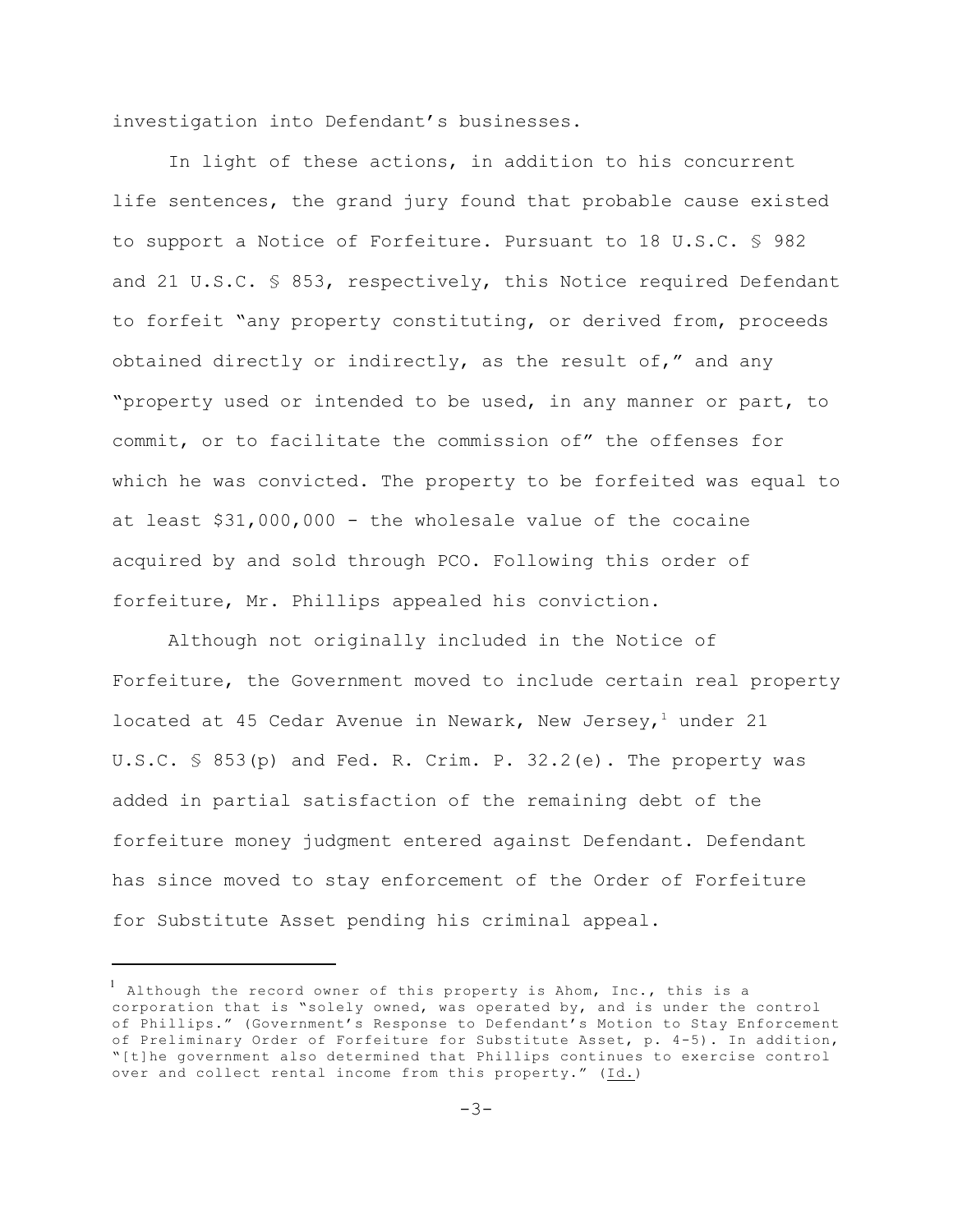investigation into Defendant's businesses.

In light of these actions, in addition to his concurrent life sentences, the grand jury found that probable cause existed to support a Notice of Forfeiture. Pursuant to 18 U.S.C. § 982 and 21 U.S.C. § 853, respectively, this Notice required Defendant to forfeit "any property constituting, or derived from, proceeds obtained directly or indirectly, as the result of," and any "property used or intended to be used, in any manner or part, to commit, or to facilitate the commission of" the offenses for which he was convicted. The property to be forfeited was equal to at least \$31,000,000 - the wholesale value of the cocaine acquired by and sold through PCO. Following this order of forfeiture, Mr. Phillips appealed his conviction.

Although not originally included in the Notice of Forfeiture, the Government moved to include certain real property located at 45 Cedar Avenue in Newark, New Jersey,<sup>1</sup> under 21 U.S.C. § 853(p) and Fed. R. Crim. P. 32.2(e). The property was added in partial satisfaction of the remaining debt of the forfeiture money judgment entered against Defendant. Defendant has since moved to stay enforcement of the Order of Forfeiture for Substitute Asset pending his criminal appeal.

 $^1$  Although the record owner of this property is Ahom, Inc., this is a corporation that is "solely owned, was operated by, and is under the control of Phillips." (Government's Response to Defendant's Motion to Stay Enforcement of Preliminary Order of Forfeiture for Substitute Asset, p. 4-5). In addition, "[t]he government also determined that Phillips continues to exercise control over and collect rental income from this property." (Id.)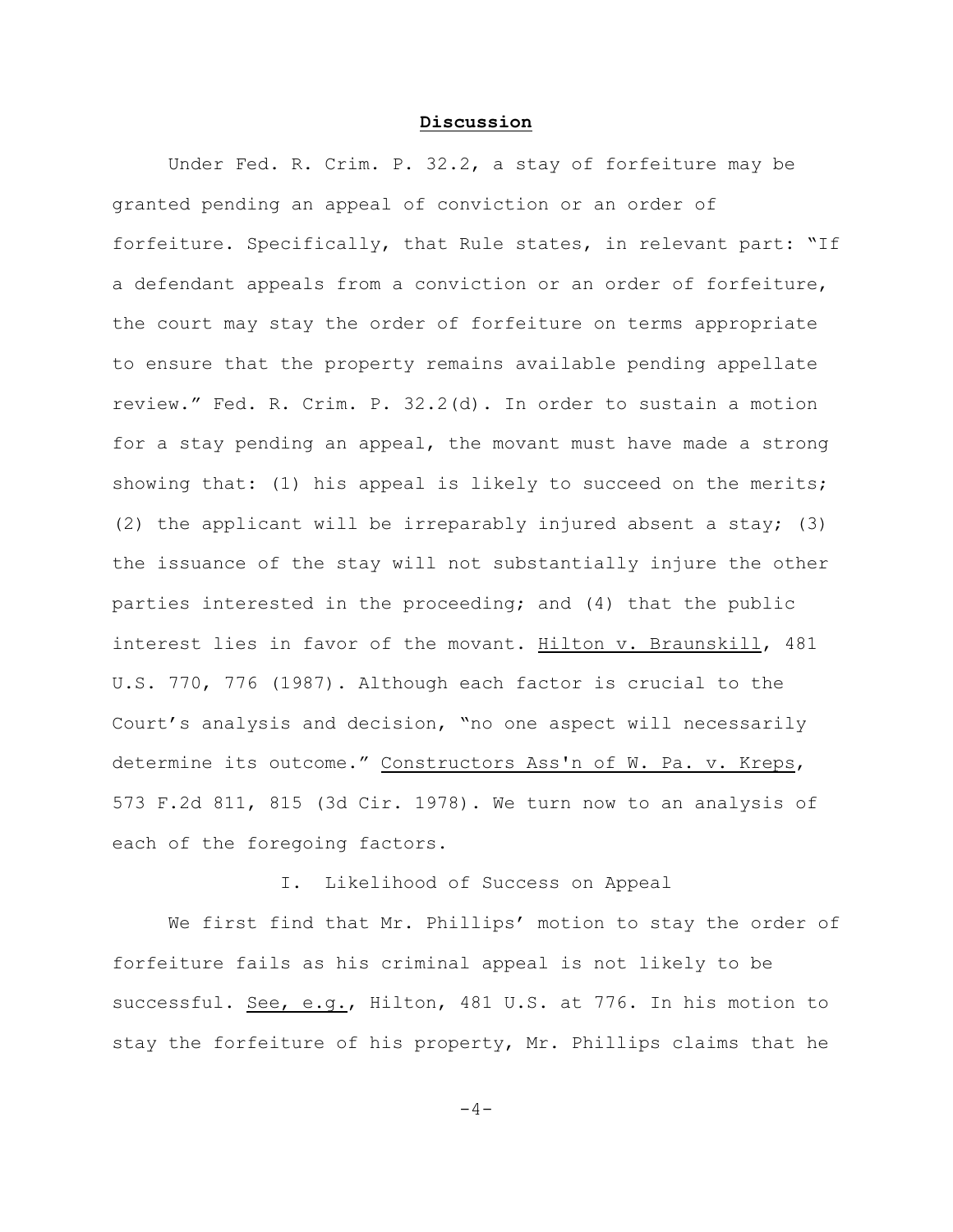#### **Discussion**

Under Fed. R. Crim. P. 32.2, a stay of forfeiture may be granted pending an appeal of conviction or an order of forfeiture. Specifically, that Rule states, in relevant part: "If a defendant appeals from a conviction or an order of forfeiture, the court may stay the order of forfeiture on terms appropriate to ensure that the property remains available pending appellate review." Fed. R. Crim. P. 32.2(d). In order to sustain a motion for a stay pending an appeal, the movant must have made a strong showing that: (1) his appeal is likely to succeed on the merits; (2) the applicant will be irreparably injured absent a stay; (3) the issuance of the stay will not substantially injure the other parties interested in the proceeding; and (4) that the public interest lies in favor of the movant. Hilton v. Braunskill, 481 U.S. 770, 776 (1987). Although each factor is crucial to the Court's analysis and decision, "no one aspect will necessarily determine its outcome." Constructors Ass'n of W. Pa. v. Kreps, 573 F.2d 811, 815 (3d Cir. 1978). We turn now to an analysis of each of the foregoing factors.

I. Likelihood of Success on Appeal

We first find that Mr. Phillips' motion to stay the order of forfeiture fails as his criminal appeal is not likely to be successful. See, e.g., Hilton, 481 U.S. at 776. In his motion to stay the forfeiture of his property, Mr. Phillips claims that he

 $-4-$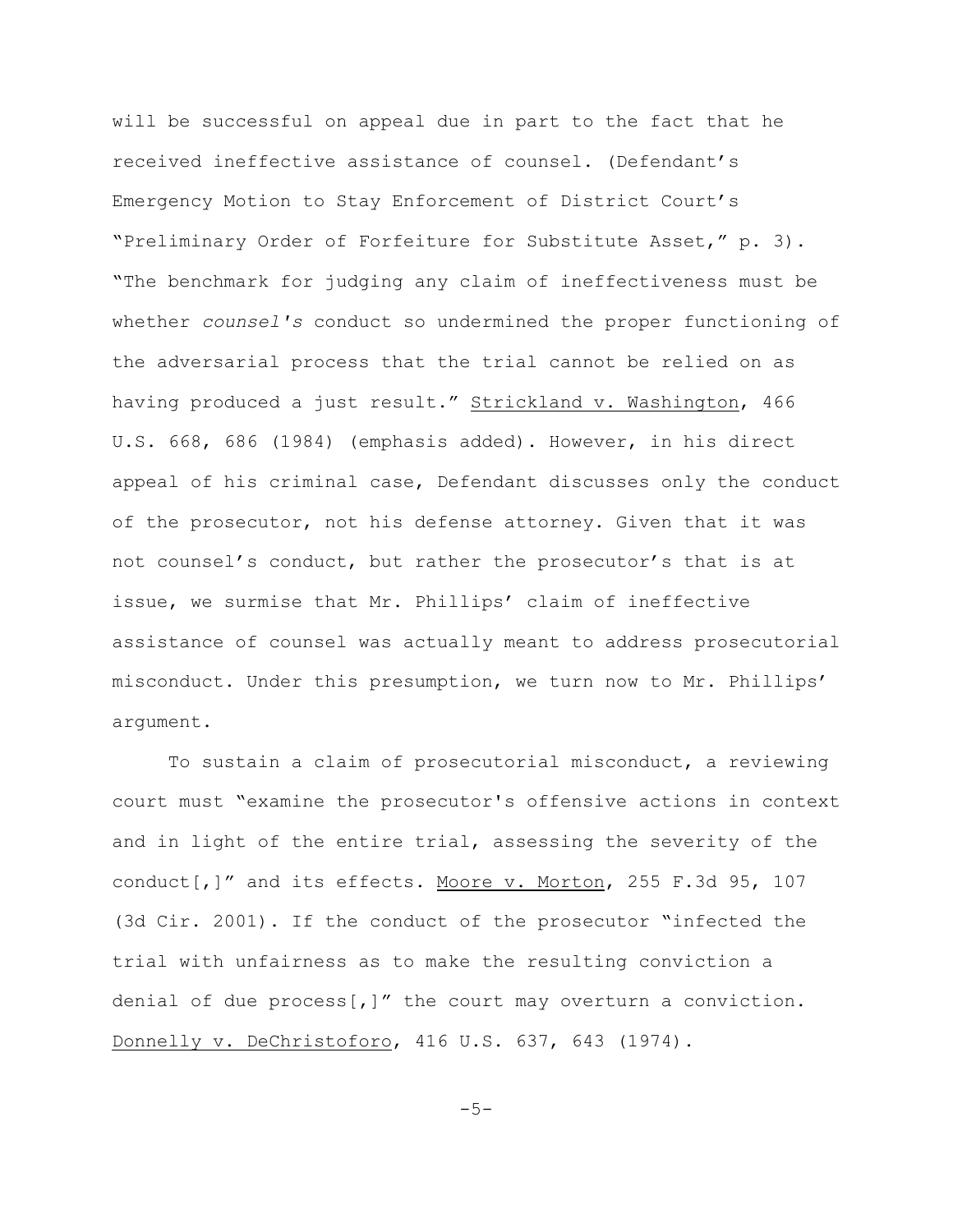will be successful on appeal due in part to the fact that he received ineffective assistance of counsel. (Defendant's Emergency Motion to Stay Enforcement of District Court's "Preliminary Order of Forfeiture for Substitute Asset," p. 3). "The benchmark for judging any claim of ineffectiveness must be whether *counsel's* conduct so undermined the proper functioning of the adversarial process that the trial cannot be relied on as having produced a just result." Strickland v. Washington, 466 U.S. 668, 686 (1984) (emphasis added). However, in his direct appeal of his criminal case, Defendant discusses only the conduct of the prosecutor, not his defense attorney. Given that it was not counsel's conduct, but rather the prosecutor's that is at issue, we surmise that Mr. Phillips' claim of ineffective assistance of counsel was actually meant to address prosecutorial misconduct. Under this presumption, we turn now to Mr. Phillips' argument.

To sustain a claim of prosecutorial misconduct, a reviewing court must "examine the prosecutor's offensive actions in context and in light of the entire trial, assessing the severity of the conduct[,]" and its effects. Moore v. Morton, 255 F.3d 95, 107 (3d Cir. 2001). If the conduct of the prosecutor "infected the trial with unfairness as to make the resulting conviction a denial of due  $process[j]$ " the court may overturn a conviction. Donnelly v. DeChristoforo, 416 U.S. 637, 643 (1974).

 $-5-$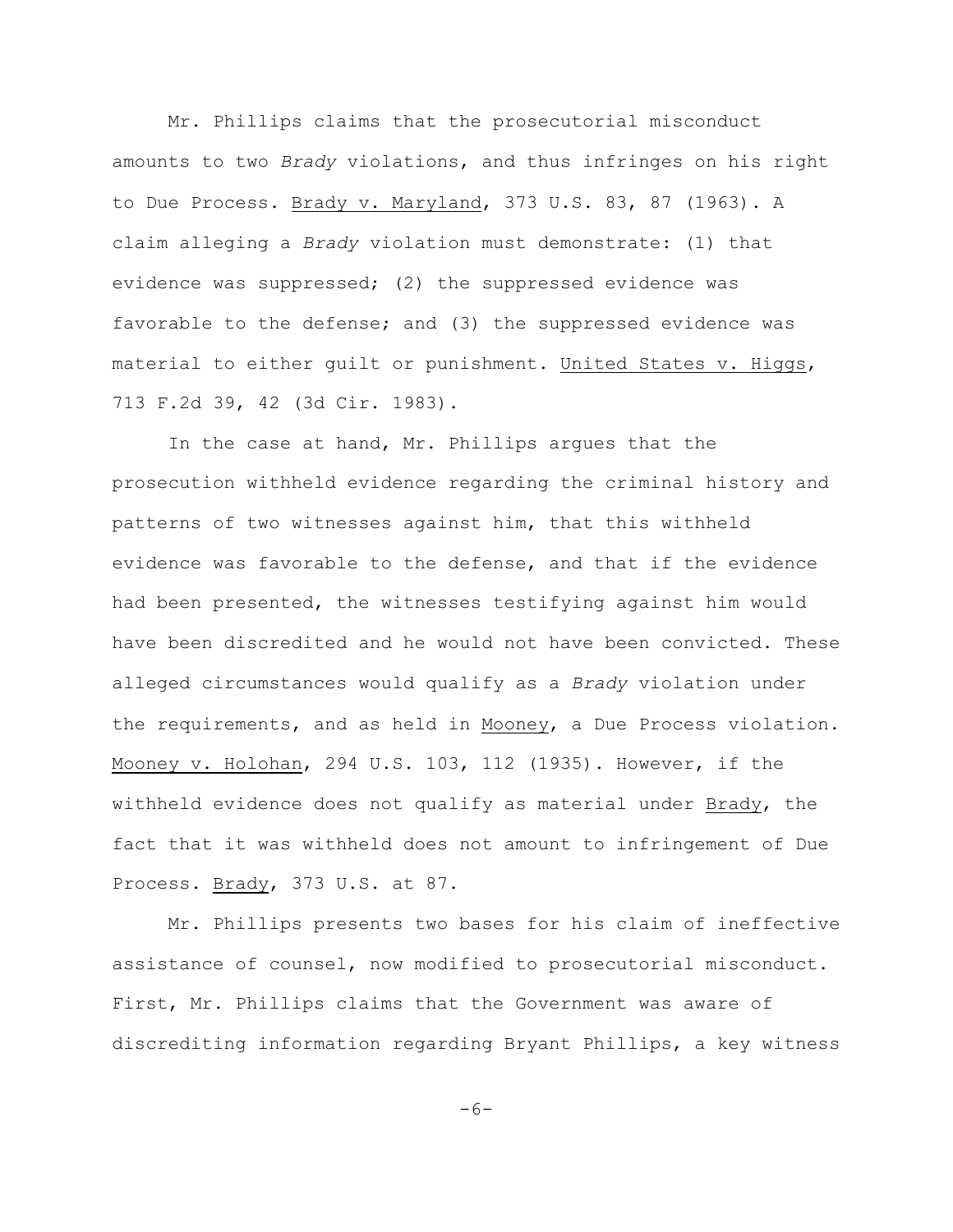Mr. Phillips claims that the prosecutorial misconduct amounts to two *Brady* violations, and thus infringes on his right to Due Process. Brady v. Maryland, 373 U.S. 83, 87 (1963). A claim alleging a *Brady* violation must demonstrate: (1) that evidence was suppressed; (2) the suppressed evidence was favorable to the defense; and (3) the suppressed evidence was material to either guilt or punishment. United States v. Higgs, 713 F.2d 39, 42 (3d Cir. 1983).

In the case at hand, Mr. Phillips argues that the prosecution withheld evidence regarding the criminal history and patterns of two witnesses against him, that this withheld evidence was favorable to the defense, and that if the evidence had been presented, the witnesses testifying against him would have been discredited and he would not have been convicted. These alleged circumstances would qualify as a *Brady* violation under the requirements, and as held in Mooney, a Due Process violation. Mooney v. Holohan, 294 U.S. 103, 112 (1935). However, if the withheld evidence does not qualify as material under Brady, the fact that it was withheld does not amount to infringement of Due Process. Brady, 373 U.S. at 87.

Mr. Phillips presents two bases for his claim of ineffective assistance of counsel, now modified to prosecutorial misconduct. First, Mr. Phillips claims that the Government was aware of discrediting information regarding Bryant Phillips, a key witness

 $-6-$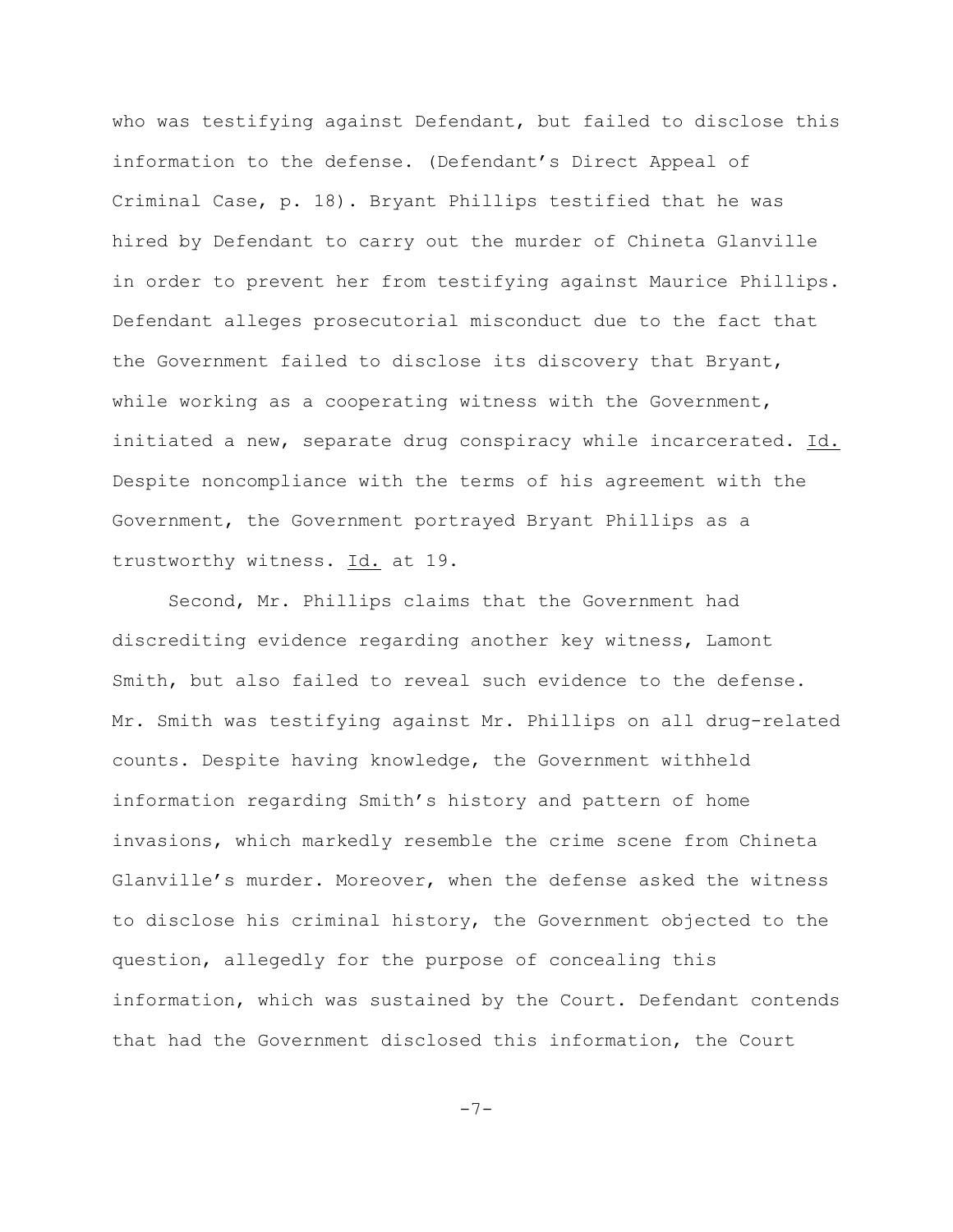who was testifying against Defendant, but failed to disclose this information to the defense. (Defendant's Direct Appeal of Criminal Case, p. 18). Bryant Phillips testified that he was hired by Defendant to carry out the murder of Chineta Glanville in order to prevent her from testifying against Maurice Phillips. Defendant alleges prosecutorial misconduct due to the fact that the Government failed to disclose its discovery that Bryant, while working as a cooperating witness with the Government, initiated a new, separate drug conspiracy while incarcerated. Id. Despite noncompliance with the terms of his agreement with the Government, the Government portrayed Bryant Phillips as a trustworthy witness. Id. at 19.

Second, Mr. Phillips claims that the Government had discrediting evidence regarding another key witness, Lamont Smith, but also failed to reveal such evidence to the defense. Mr. Smith was testifying against Mr. Phillips on all drug-related counts. Despite having knowledge, the Government withheld information regarding Smith's history and pattern of home invasions, which markedly resemble the crime scene from Chineta Glanville's murder. Moreover, when the defense asked the witness to disclose his criminal history, the Government objected to the question, allegedly for the purpose of concealing this information, which was sustained by the Court. Defendant contends that had the Government disclosed this information, the Court

-7-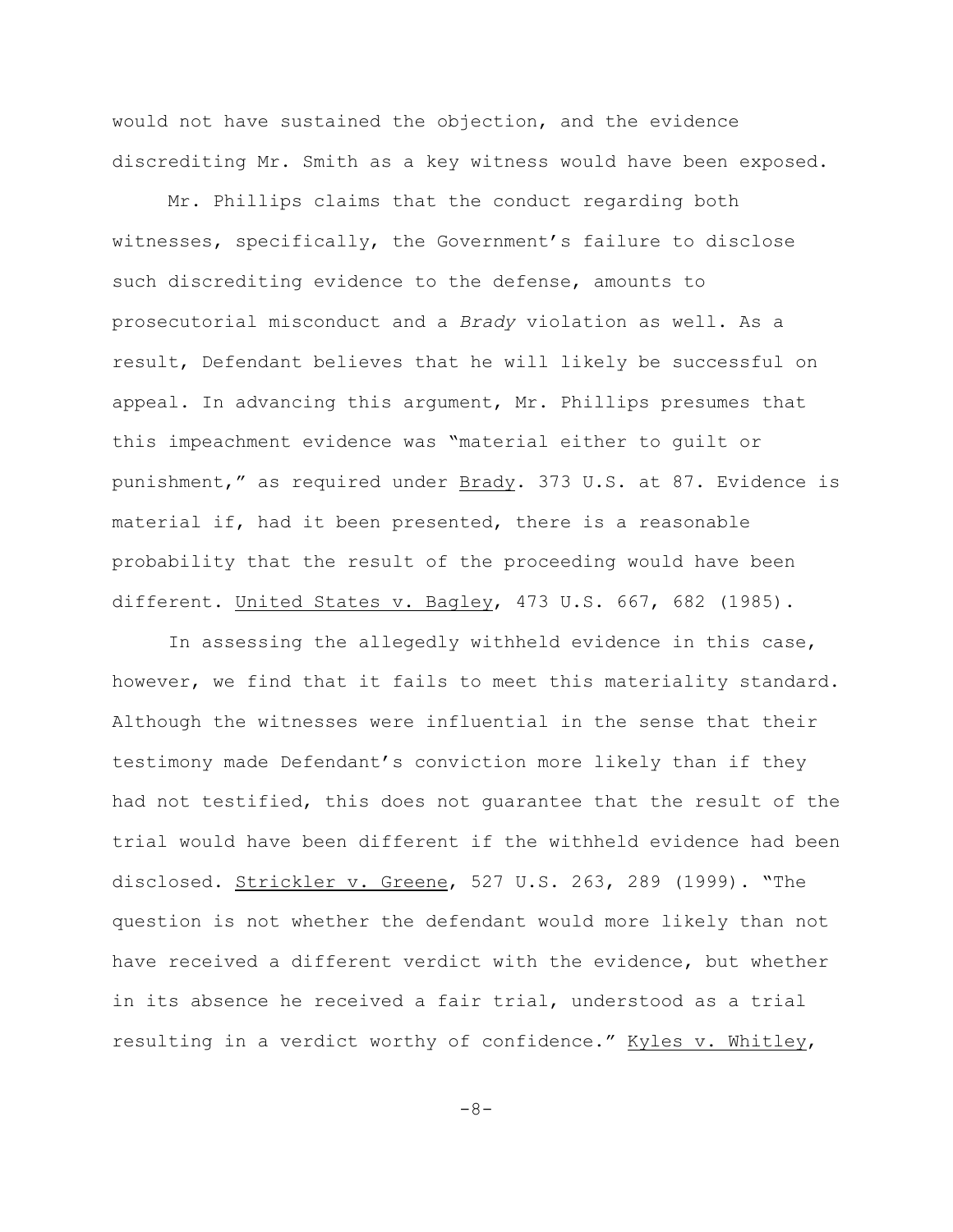would not have sustained the objection, and the evidence discrediting Mr. Smith as a key witness would have been exposed.

Mr. Phillips claims that the conduct regarding both witnesses, specifically, the Government's failure to disclose such discrediting evidence to the defense, amounts to prosecutorial misconduct and a *Brady* violation as well. As a result, Defendant believes that he will likely be successful on appeal. In advancing this argument, Mr. Phillips presumes that this impeachment evidence was "material either to guilt or punishment," as required under Brady. 373 U.S. at 87. Evidence is material if, had it been presented, there is a reasonable probability that the result of the proceeding would have been different. United States v. Bagley, 473 U.S. 667, 682 (1985).

In assessing the allegedly withheld evidence in this case, however, we find that it fails to meet this materiality standard. Although the witnesses were influential in the sense that their testimony made Defendant's conviction more likely than if they had not testified, this does not guarantee that the result of the trial would have been different if the withheld evidence had been disclosed. Strickler v. Greene, 527 U.S. 263, 289 (1999). "The question is not whether the defendant would more likely than not have received a different verdict with the evidence, but whether in its absence he received a fair trial, understood as a trial resulting in a verdict worthy of confidence." Kyles v. Whitley,

-8-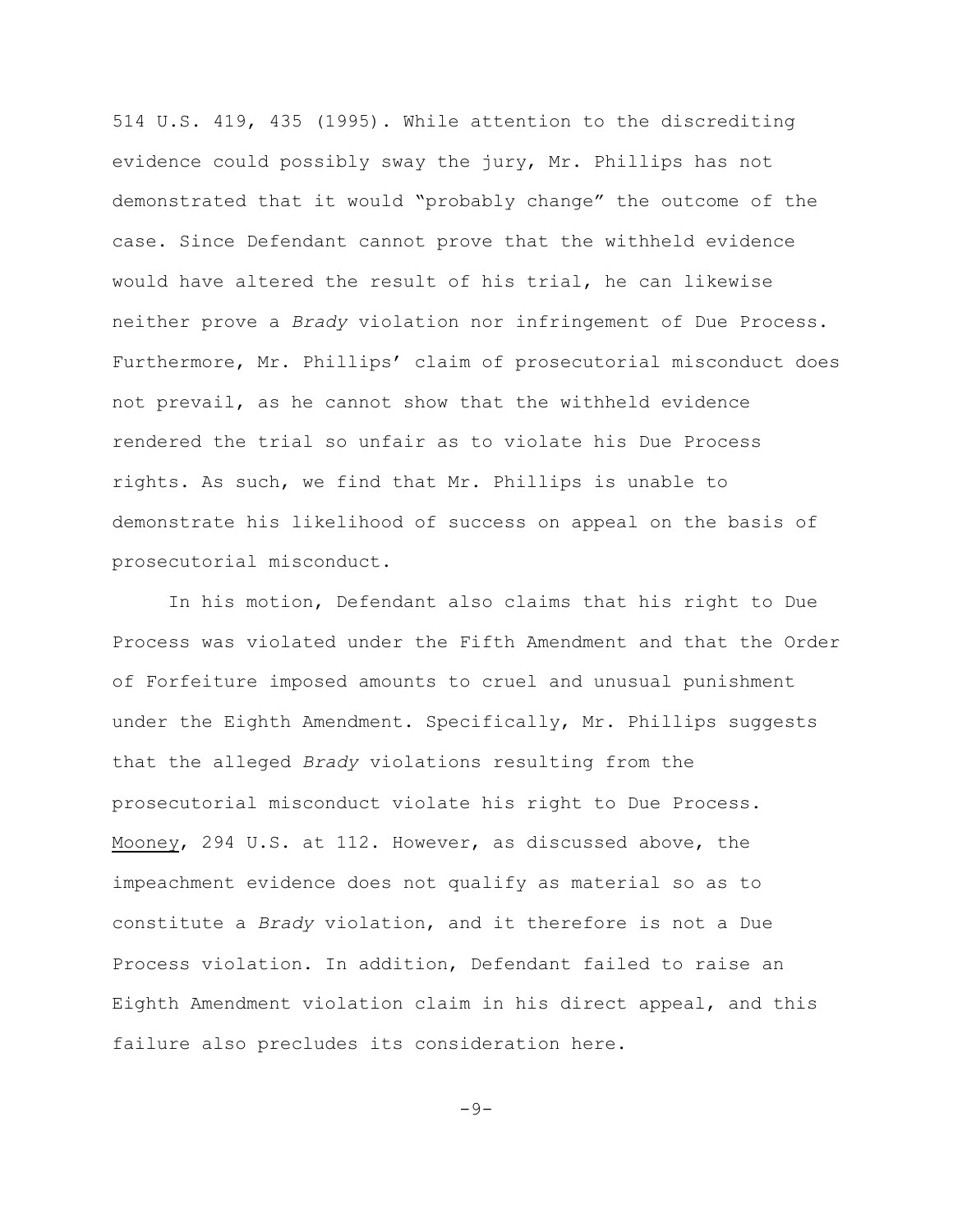514 U.S. 419, 435 (1995). While attention to the discrediting evidence could possibly sway the jury, Mr. Phillips has not demonstrated that it would "probably change" the outcome of the case. Since Defendant cannot prove that the withheld evidence would have altered the result of his trial, he can likewise neither prove a *Brady* violation nor infringement of Due Process. Furthermore, Mr. Phillips' claim of prosecutorial misconduct does not prevail, as he cannot show that the withheld evidence rendered the trial so unfair as to violate his Due Process rights. As such, we find that Mr. Phillips is unable to demonstrate his likelihood of success on appeal on the basis of prosecutorial misconduct.

In his motion, Defendant also claims that his right to Due Process was violated under the Fifth Amendment and that the Order of Forfeiture imposed amounts to cruel and unusual punishment under the Eighth Amendment. Specifically, Mr. Phillips suggests that the alleged *Brady* violations resulting from the prosecutorial misconduct violate his right to Due Process. Mooney, 294 U.S. at 112. However, as discussed above, the impeachment evidence does not qualify as material so as to constitute a *Brady* violation, and it therefore is not a Due Process violation. In addition, Defendant failed to raise an Eighth Amendment violation claim in his direct appeal, and this failure also precludes its consideration here.

 $-9-$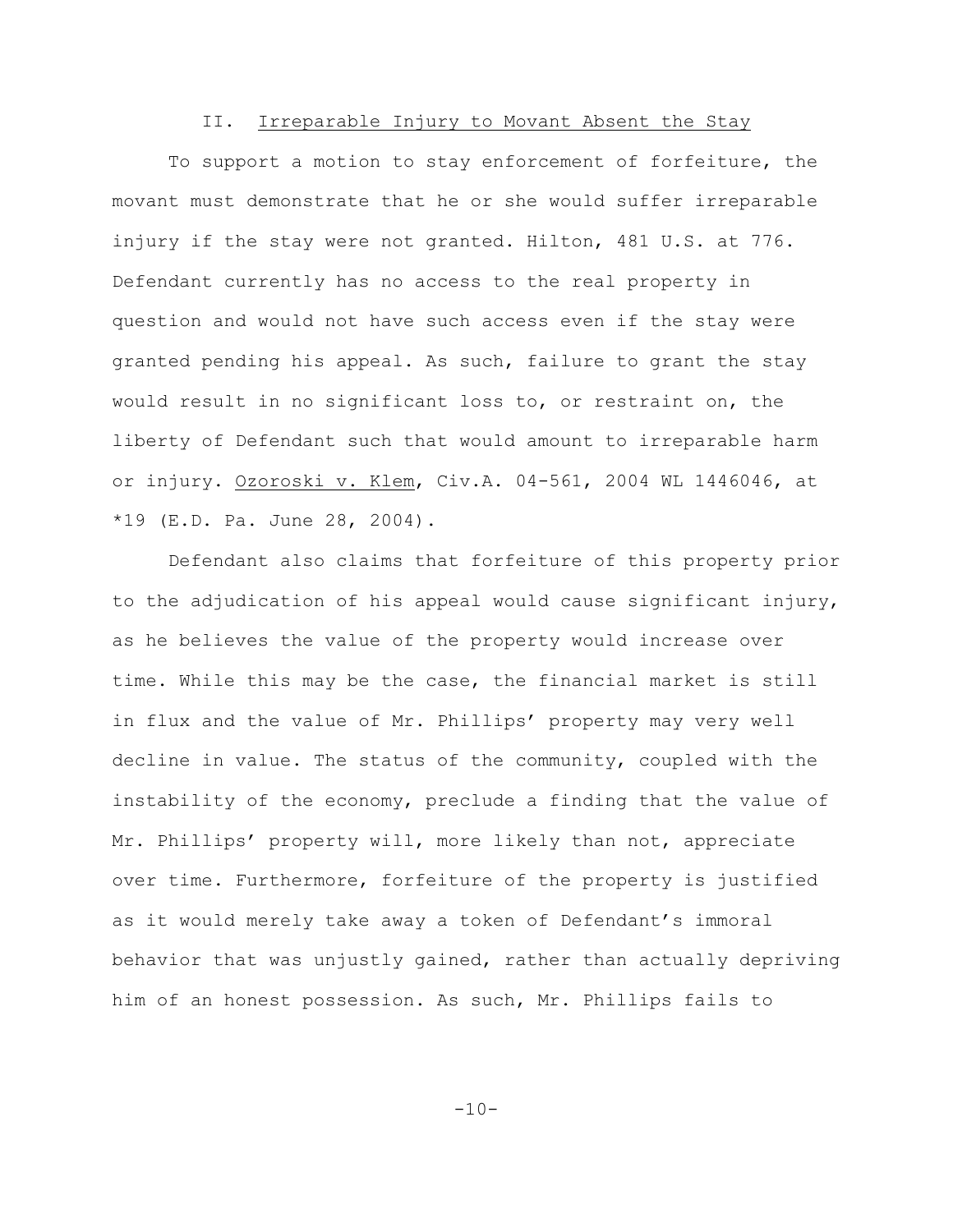# II. Irreparable Injury to Movant Absent the Stay

To support a motion to stay enforcement of forfeiture, the movant must demonstrate that he or she would suffer irreparable injury if the stay were not granted. Hilton, 481 U.S. at 776. Defendant currently has no access to the real property in question and would not have such access even if the stay were granted pending his appeal. As such, failure to grant the stay would result in no significant loss to, or restraint on, the liberty of Defendant such that would amount to irreparable harm or injury. Ozoroski v. Klem, Civ.A. 04-561, 2004 WL 1446046, at \*19 (E.D. Pa. June 28, 2004).

Defendant also claims that forfeiture of this property prior to the adjudication of his appeal would cause significant injury, as he believes the value of the property would increase over time. While this may be the case, the financial market is still in flux and the value of Mr. Phillips' property may very well decline in value. The status of the community, coupled with the instability of the economy, preclude a finding that the value of Mr. Phillips' property will, more likely than not, appreciate over time. Furthermore, forfeiture of the property is justified as it would merely take away a token of Defendant's immoral behavior that was unjustly gained, rather than actually depriving him of an honest possession. As such, Mr. Phillips fails to

 $-10-$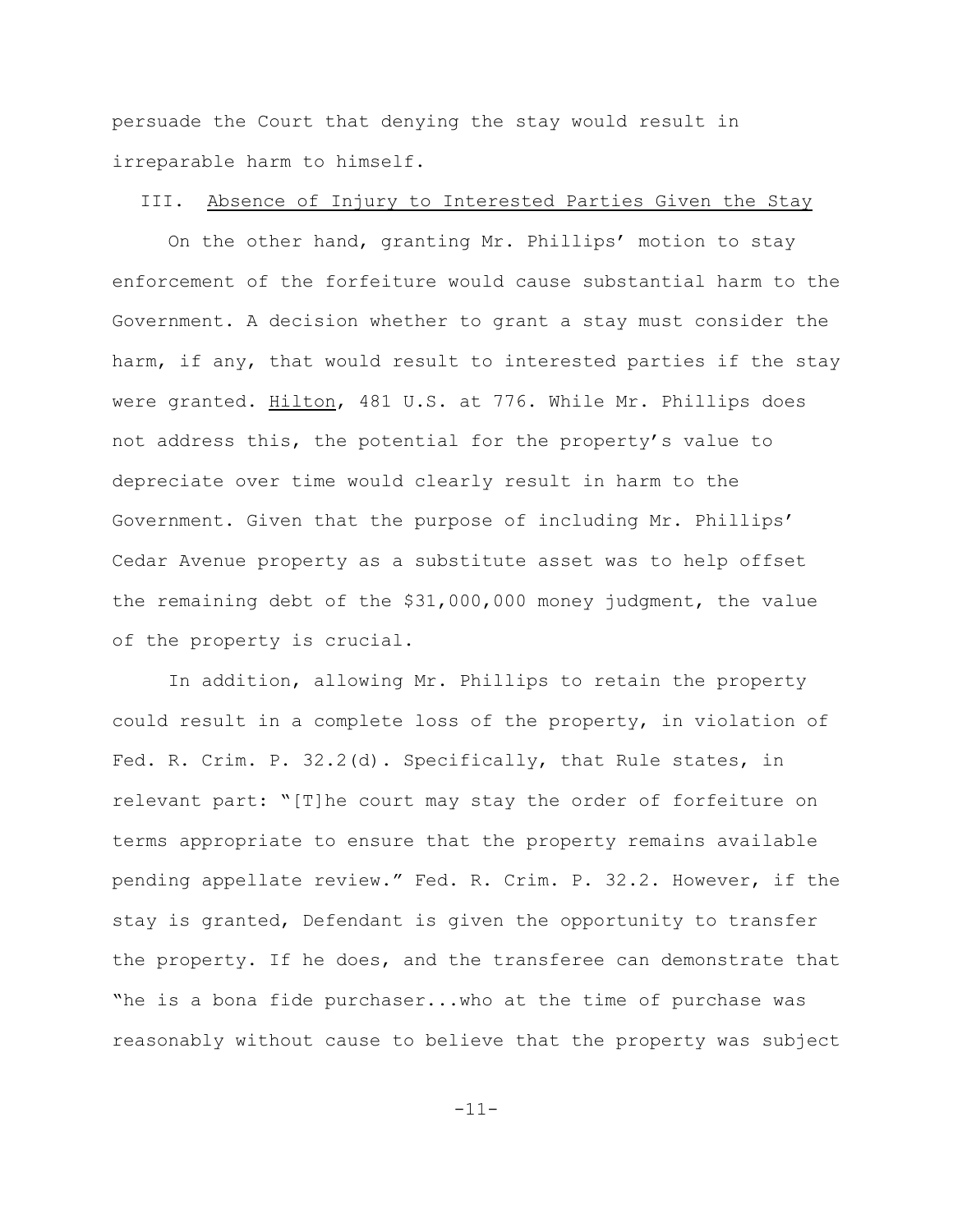persuade the Court that denying the stay would result in irreparable harm to himself.

#### III. Absence of Injury to Interested Parties Given the Stay

On the other hand, granting Mr. Phillips' motion to stay enforcement of the forfeiture would cause substantial harm to the Government. A decision whether to grant a stay must consider the harm, if any, that would result to interested parties if the stay were granted. Hilton, 481 U.S. at 776. While Mr. Phillips does not address this, the potential for the property's value to depreciate over time would clearly result in harm to the Government. Given that the purpose of including Mr. Phillips' Cedar Avenue property as a substitute asset was to help offset the remaining debt of the \$31,000,000 money judgment, the value of the property is crucial.

In addition, allowing Mr. Phillips to retain the property could result in a complete loss of the property, in violation of Fed. R. Crim. P. 32.2(d). Specifically, that Rule states, in relevant part: "[T]he court may stay the order of forfeiture on terms appropriate to ensure that the property remains available pending appellate review." Fed. R. Crim. P. 32.2. However, if the stay is granted, Defendant is given the opportunity to transfer the property. If he does, and the transferee can demonstrate that "he is a bona fide purchaser...who at the time of purchase was reasonably without cause to believe that the property was subject

-11-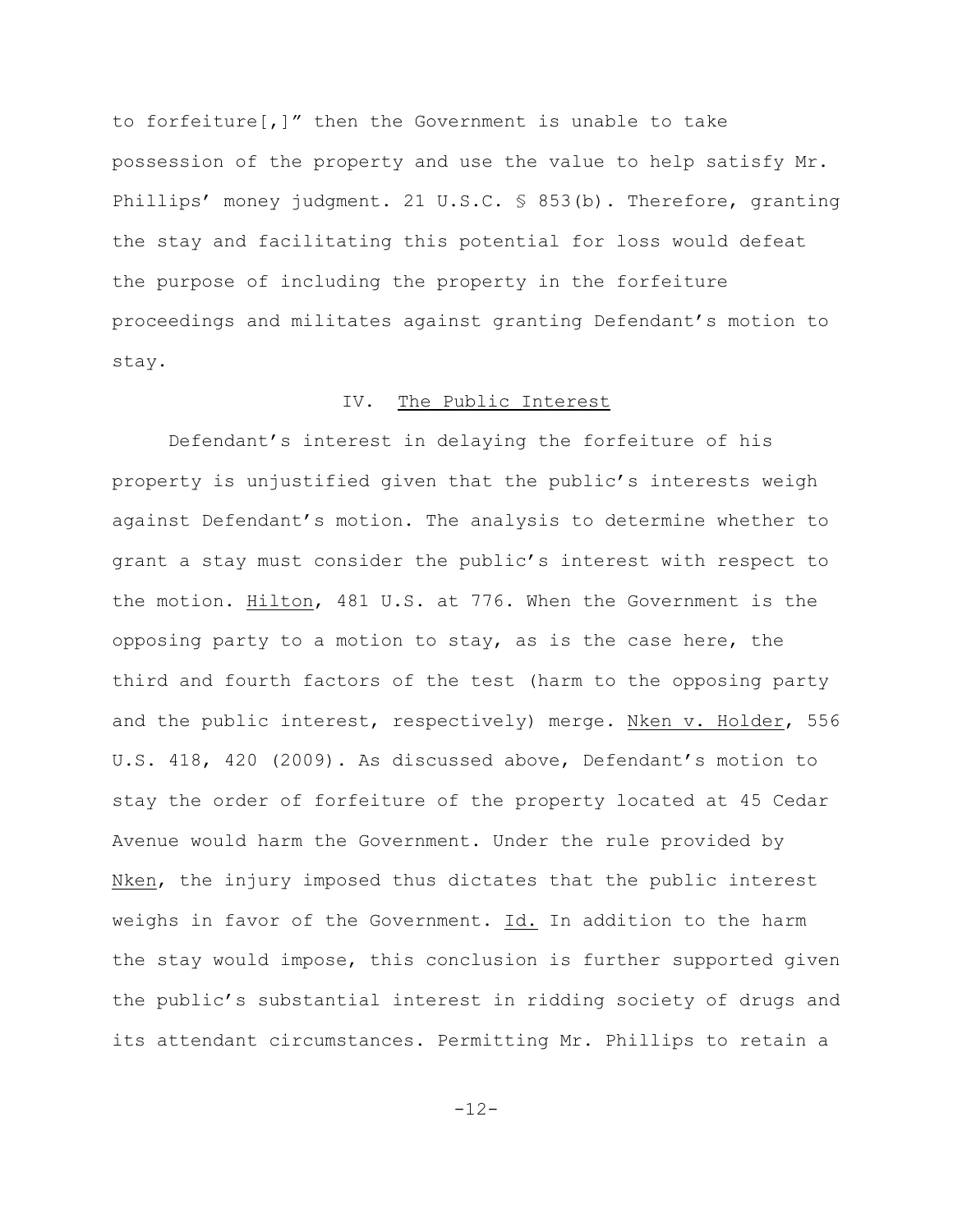to forfeiture[,]" then the Government is unable to take possession of the property and use the value to help satisfy Mr. Phillips' money judgment. 21 U.S.C. § 853(b). Therefore, granting the stay and facilitating this potential for loss would defeat the purpose of including the property in the forfeiture proceedings and militates against granting Defendant's motion to stay.

## IV. The Public Interest

Defendant's interest in delaying the forfeiture of his property is unjustified given that the public's interests weigh against Defendant's motion. The analysis to determine whether to grant a stay must consider the public's interest with respect to the motion. Hilton, 481 U.S. at 776. When the Government is the opposing party to a motion to stay, as is the case here, the third and fourth factors of the test (harm to the opposing party and the public interest, respectively) merge. Nken v. Holder, 556 U.S. 418, 420 (2009). As discussed above, Defendant's motion to stay the order of forfeiture of the property located at 45 Cedar Avenue would harm the Government. Under the rule provided by Nken, the injury imposed thus dictates that the public interest weighs in favor of the Government. Id. In addition to the harm the stay would impose, this conclusion is further supported given the public's substantial interest in ridding society of drugs and its attendant circumstances. Permitting Mr. Phillips to retain a

-12-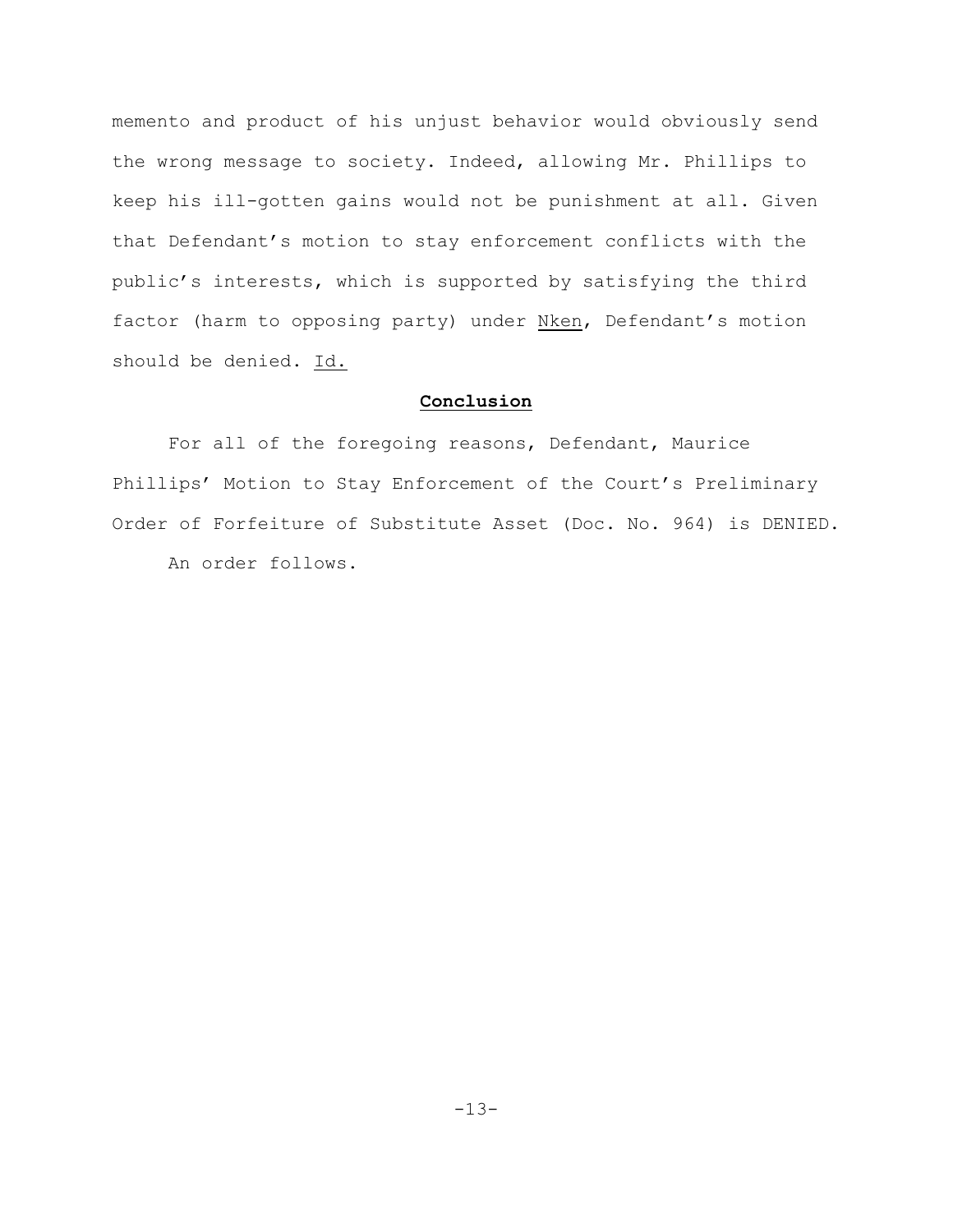memento and product of his unjust behavior would obviously send the wrong message to society. Indeed, allowing Mr. Phillips to keep his ill-gotten gains would not be punishment at all. Given that Defendant's motion to stay enforcement conflicts with the public's interests, which is supported by satisfying the third factor (harm to opposing party) under Nken, Defendant's motion should be denied. Id.

# **Conclusion**

For all of the foregoing reasons, Defendant, Maurice Phillips' Motion to Stay Enforcement of the Court's Preliminary Order of Forfeiture of Substitute Asset (Doc. No. 964) is DENIED.

An order follows.